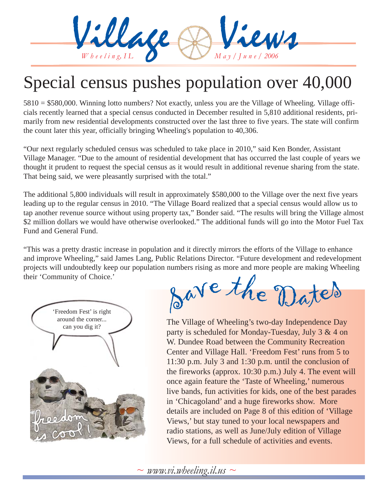

# Special census pushes population over 40,000

5810 = \$580,000. Winning lotto numbers? Not exactly, unless you are the Village of Wheeling. Village officials recently learned that a special census conducted in December resulted in 5,810 additional residents, primarily from new residential developments constructed over the last three to five years. The state will confirm the count later this year, officially bringing Wheeling's population to 40,306.

"Our next regularly scheduled census was scheduled to take place in 2010," said Ken Bonder, Assistant Village Manager. "Due to the amount of residential development that has occurred the last couple of years we thought it prudent to request the special census as it would result in additional revenue sharing from the state. That being said, we were pleasantly surprised with the total."

The additional 5,800 individuals will result in approximately \$580,000 to the Village over the next five years leading up to the regular census in 2010. "The Village Board realized that a special census would allow us to tap another revenue source without using property tax," Bonder said. "The results will bring the Village almost \$2 million dollars we would have otherwise overlooked." The additional funds will go into the Motor Fuel Tax Fund and General Fund.

"This was a pretty drastic increase in population and it directly mirrors the efforts of the Village to enhance and improve Wheeling," said James Lang, Public Relations Director. "Future development and redevelopment projects will undoubtedly keep our population numbers rising as more and more people are making Wheeling their 'Community of Choice.'



<sup>S</sup>av<sup>e</sup> <sup>t</sup>h<sup>e</sup> <sup>D</sup>ate<sup>s</sup>

The Village of Wheeling's two-day Independence Day party is scheduled for Monday-Tuesday, July 3 & 4 on W. Dundee Road between the Community Recreation Center and Village Hall. 'Freedom Fest' runs from 5 to 11:30 p.m. July 3 and 1:30 p.m. until the conclusion of the fireworks (approx. 10:30 p.m.) July 4. The event will once again feature the 'Taste of Wheeling,' numerous live bands, fun activities for kids, one of the best parades in 'Chicagoland' and a huge fireworks show. More details are included on Page 8 of this edition of 'Village Views,' but stay tuned to your local newspapers and radio stations, as well as June/July edition of Village Views, for a full schedule of activities and events.

 $\sim$  *www.vi.wheeling.il.us*  $\sim$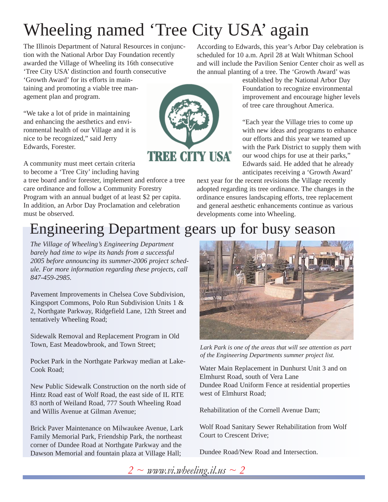# Wheeling named 'Tree City USA' again

The Illinois Department of Natural Resources in conjunction with the National Arbor Day Foundation recently awarded the Village of Wheeling its 16th consecutive 'Tree City USA' distinction and fourth consecutive

'Growth Award' for its efforts in maintaining and promoting a viable tree management plan and program.

"We take a lot of pride in maintaining and enhancing the aesthetics and environmental health of our Village and it is nice to be recognized," said Jerry Edwards, Forester.

A community must meet certain criteria to become a 'Tree City' including having

a tree board and/or forester, implement and enforce a tree care ordinance and follow a Community Forestry Program with an annual budget of at least \$2 per capita. In addition, an Arbor Day Proclamation and celebration must be observed.

According to Edwards, this year's Arbor Day celebration is scheduled for 10 a.m. April 28 at Walt Whitman School and will include the Pavilion Senior Center choir as well as the annual planting of a tree. The 'Growth Award' was

> established by the National Arbor Day Foundation to recognize environmental improvement and encourage higher levels of tree care throughout America.

> "Each year the Village tries to come up with new ideas and programs to enhance our efforts and this year we teamed up with the Park District to supply them with our wood chips for use at their parks," Edwards said. He added that he already anticipates receiving a 'Growth Award'

next year for the recent revisions the Village recently adopted regarding its tree ordinance. The changes in the ordinance ensures landscaping efforts, tree replacement and general aesthetic enhancements continue as various developments come into Wheeling.

### Engineering Department gears up for busy season

*The Village of Wheeling's Engineering Department barely had time to wipe its hands from a successful 2005 before announcing its summer-2006 project schedule. For more information regarding these projects, call 847-459-2985.*

Pavement Improvements in Chelsea Cove Subdivision, Kingsport Commons, Polo Run Subdivision Units 1 & 2, Northgate Parkway, Ridgefield Lane, 12th Street and tentatively Wheeling Road;

Sidewalk Removal and Replacement Program in Old Town, East Meadowbrook, and Town Street;

Pocket Park in the Northgate Parkway median at Lake-Cook Road;

New Public Sidewalk Construction on the north side of Hintz Road east of Wolf Road, the east side of IL RTE 83 north of Weiland Road, 777 South Wheeling Road and Willis Avenue at Gilman Avenue;

Brick Paver Maintenance on Milwaukee Avenue, Lark Family Memorial Park, Friendship Park, the northeast corner of Dundee Road at Northgate Parkway and the Dawson Memorial and fountain plaza at Village Hall;



*Lark Park is one of the areas that will see attention as part of the Engineering Departments summer project list.*

Water Main Replacement in Dunhurst Unit 3 and on Elmhurst Road, south of Vera Lane Dundee Road Uniform Fence at residential properties west of Elmhurst Road;

Rehabilitation of the Cornell Avenue Dam;

Wolf Road Sanitary Sewer Rehabilitation from Wolf Court to Crescent Drive;

Dundee Road/New Road and Intersection.

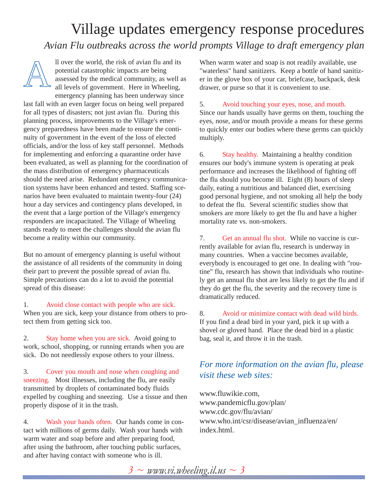### Village updates emergency response procedures *Avian Flu outbreaks across the world prompts Village to draft emergency plan*



ll over the world, the risk of avian flu and its potential catastrophic impacts are being assessed by the medical community, as well as all levels of government. Here in Wheeling,

emergency planning has been underway since last fall with an even larger focus on being well prepared for all types of disasters; not just avian flu. During this planning process, improvements to the Village's emergency preparedness have been made to ensure the continuity of government in the event of the loss of elected officials, and/or the loss of key staff personnel. Methods for implementing and enforcing a quarantine order have been evaluated, as well as planning for the coordination of the mass distribution of emergency pharmaceuticals should the need arise. Redundant emergency communication systems have been enhanced and tested. Staffing scenarios have been evaluated to maintain twenty-four (24) hour a day services and contingency plans developed, in the event that a large portion of the Village's emergency responders are incapacitated. The Village of Wheeling stands ready to meet the challenges should the avian flu become a reality within our community.

But no amount of emergency planning is useful without the assistance of all residents of the community in doing their part to prevent the possible spread of avian flu. Simple precautions can do a lot to avoid the potential spread of this disease:

1. Avoid close contact with people who are sick. When you are sick, keep your distance from others to protect them from getting sick too.

2. Stay home when you are sick. Avoid going to work, school, shopping, or running errands when you are sick. Do not needlessly expose others to your illness.

3. Cover you mouth and nose when coughing and sneezing. Most illnesses, including the flu, are easily transmitted by droplets of contaminated body fluids expelled by coughing and sneezing. Use a tissue and then properly dispose of it in the trash.

4. Wash your hands often. Our hands come in contact with millions of germs daily. Wash your hands with warm water and soap before and after preparing food, after using the bathroom, after touching public surfaces, and after having contact with someone who is ill.

When warm water and soap is not readily available, use "waterless" hand sanitizers. Keep a bottle of hand sanitizer in the glove box of your car, briefcase, backpack, desk drawer, or purse so that it is convenient to use.

#### 5. Avoid touching your eyes, nose, and mouth.

Since our hands usually have germs on them, touching the eyes, nose, and/or mouth provide a means for these germs to quickly enter our bodies where these germs can quickly multiply.

6. Stay healthy. Maintaining a healthy condition ensures our body's immune system is operating at peak performance and increases the likelihood of fighting off the flu should you become ill. Eight (8) hours of sleep daily, eating a nutritious and balanced diet, exercising good personal hygiene, and not smoking all help the body to defeat the flu. Several scientific studies show that smokers are more likely to get the flu and have a higher mortality rate vs. non-smokers.

7. Get an annual flu shot. While no vaccine is currently available for avian flu, research is underway in many countries. When a vaccine becomes available, everybody is encouraged to get one. In dealing with "routine" flu, research has shown that individuals who routinely get an annual flu shot are less likely to get the flu and if they do get the flu, the severity and the recovery time is dramatically reduced.

8. Avoid or minimize contact with dead wild birds. If you find a dead bird in your yard, pick it up with a shovel or gloved hand. Place the dead bird in a plastic bag, seal it, and throw it in the trash.

#### *For more information on the avian flu, please visit these web sites:*

www.fluwikie.com, www.pandemicflu.gov/plan/ www.cdc.gov/flu/avian/ www.who.int/csr/disease/avian\_influenza/en/ index.html.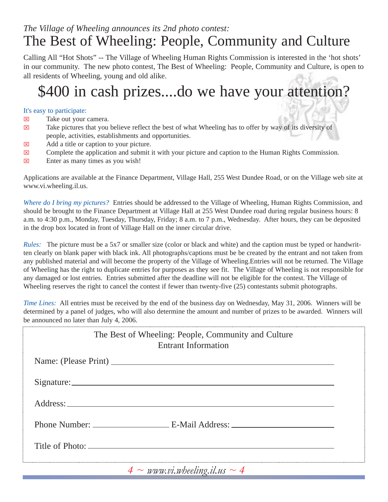### *The Village of Wheeling announces its 2nd photo contest:* The Best of Wheeling: People, Community and Culture

Calling All "Hot Shots" -- The Village of Wheeling Human Rights Commission is interested in the 'hot shots' in our community. The new photo contest, The Best of Wheeling: People, Community and Culture, is open to all residents of Wheeling, young and old alike.

# \$400 in cash prizes....do we have your attention?

#### It's easy to participate:

- $\boxtimes$  Take out your camera.
- $\boxtimes$  Take pictures that you believe reflect the best of what Wheeling has to offer by way of its diversity of people, activities, establishments and opportunities.
- $\boxtimes$  Add a title or caption to your picture.
- $\boxtimes$  Complete the application and submit it with your picture and caption to the Human Rights Commission.
- $\boxtimes$  Enter as many times as you wish!

Applications are available at the Finance Department, Village Hall, 255 West Dundee Road, or on the Village web site at www.vi.wheeling.il.us.

*Where do I bring my pictures?* Entries should be addressed to the Village of Wheeling, Human Rights Commission, and should be brought to the Finance Department at Village Hall at 255 West Dundee road during regular business hours: 8 a.m. to 4:30 p.m., Monday, Tuesday, Thursday, Friday; 8 a.m. to 7 p.m., Wednesday. After hours, they can be deposited in the drop box located in front of Village Hall on the inner circular drive.

*Rules:* The picture must be a 5x7 or smaller size (color or black and white) and the caption must be typed or handwritten clearly on blank paper with black ink. All photographs/captions must be be created by the entrant and not taken from any published material and will become the property of the Village of Wheeling.Entries will not be returned. The Village of Wheeling has the right to duplicate entries for purposes as they see fit. The Village of Wheeling is not responsible for any damaged or lost entries. Entries submitted after the deadline will not be eligible for the contest. The Village of Wheeling reserves the right to cancel the contest if fewer than twenty-five (25) contestants submit photographs.

*Time Lines:* All entries must be received by the end of the business day on Wednesday, May 31, 2006. Winners will be determined by a panel of judges, who will also determine the amount and number of prizes to be awarded. Winners will be announced no later than July 4, 2006.

| The Best of Wheeling: People, Community and Culture<br><b>Entrant Information</b> |
|-----------------------------------------------------------------------------------|
| Name: (Please Print)                                                              |
|                                                                                   |
|                                                                                   |
| Phone Number: ____________________________E-Mail Address: _______________________ |
|                                                                                   |
| $\Lambda$ as monogeneral probabing it are as $\Lambda$                            |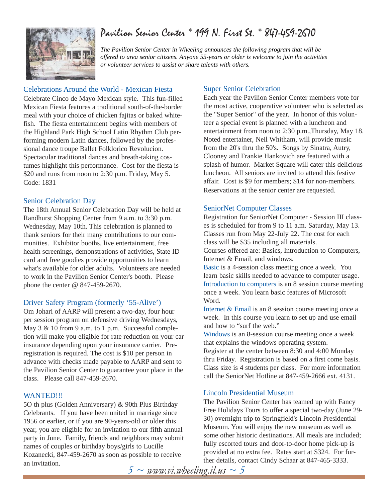### Pavilion Senior Center \* 199 N. First St. \* 847-459-2670



*The Pavilion Senior Center in Wheeling announces the following program that will be offered to area senior citizens. Anyone 55-years or older is welcome to join the activities or volunteer services to assist or share talents with others.*

#### Celebrations Around the World - Mexican Fiesta

Celebrate Cinco de Mayo Mexican style. This fun-filled Mexican Fiesta features a traditional south-of-the-border meal with your choice of chicken fajitas or baked whitefish. The fiesta entertainment begins with members of the Highland Park High School Latin Rhythm Club performing modern Latin dances, followed by the professional dance troupe Ballet Folklorico Revolucion. Spectacular traditional dances and breath-taking costumes highlight this performance. Cost for the fiesta is \$20 and runs from noon to 2:30 p.m. Friday, May 5. Code: 1831

#### Senior Celebration Day

The 18th Annual Senior Celebration Day will be held at Randhurst Shopping Center from 9 a.m. to 3:30 p.m. Wednesday, May 10th. This celebration is planned to thank seniors for their many contributions to our communities. Exhibitor booths, live entertainment, free health screenings, demonstrations of activities, State ID card and free goodies provide opportunities to learn what's available for older adults. Volunteers are needed to work in the Pavilion Senior Center's booth. Please phone the center @ 847-459-2670.

#### Driver Safety Program (formerly '55-Alive')

Om Johari of AARP will present a two-day, four hour per session program on defensive driving Wednesdays, May 3 & 10 from 9 a.m. to 1 p.m. Successful completion will make you eligible for rate reduction on your car insurance depending upon your insurance carrier. Preregistration is required. The cost is \$10 per person in advance with checks made payable to AARP and sent to the Pavilion Senior Center to guarantee your place in the class. Please call 847-459-2670.

#### WANTED!!!

5O th plus (Golden Anniversary) & 90th Plus Birthday Celebrants. If you have been united in marriage since 1956 or earlier, or if you are 90-years-old or older this year, you are eligible for an invitation to our fifth annual party in June. Family, friends and neighbors may submit names of couples or birthday boys/girls to Lucille Kozanecki, 847-459-2670 as soon as possible to receive an invitation.

#### Super Senior Celebration

Each year the Pavilion Senior Center members vote for the most active, cooperative volunteer who is selected as the "Super Senior" of the year. In honor of this volunteer a special event is planned with a luncheon and entertainment from noon to 2:30 p.m.,Thursday, May 18. Noted entertainer, Neil Whitham, will provide music from the 20's thru the 50's. Songs by Sinatra, Autry, Clooney and Frankie Hankovich are featured with a splash of humor. Market Square will cater this delicious luncheon. All seniors are invited to attend this festive affair. Cost is \$9 for members; \$14 for non-members. Reservations at the senior center are requested.

#### SeniorNet Computer Classes

Registration for SeniorNet Computer - Session III classes is scheduled for from 9 to 11 a.m. Saturday, May 13. Classes run from May 22-July 22. The cost for each class will be \$35 including all materials.

Courses offered are: Basics, Introduction to Computers, Internet & Email, and windows.

Basic is a 4-session class meeting once a week. You learn basic skills needed to advance to computer usage. Introduction to computers is an 8 session course meeting once a week. You learn basic features of Microsoft Word.

Internet & Email is an 8 session course meeting once a week. In this course you learn to set up and use email and how to "surf the web."

Windows is an 8-session course meeting once a week that explains the windows operating system.

Register at the center between 8:30 and 4:00 Monday thru Friday. Registration is based on a first come basis. Class size is 4 students per class. For more information call the SeniorNet Hotline at 847-459-2666 ext. 4131.

#### Lincoln Presidential Museum

The Pavilion Senior Center has teamed up with Fancy Free Holidays Tours to offer a special two-day (June 29- 30) overnight trip to Springfield's Lincoln Presidential Museum. You will enjoy the new museum as well as some other historic destinations. All meals are included; fully escorted tours and door-to-door home pick-up is provided at no extra fee. Rates start at \$324. For further details, contact Cindy Schaar at 847-465-3333.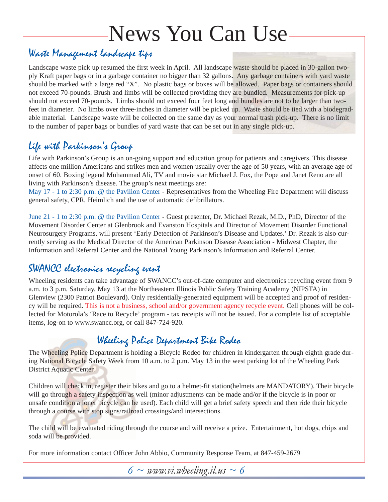# News You Can Use

### Waste Management landscape tips

Landscape waste pick up resumed the first week in April. All landscape waste should be placed in 30-gallon twoply Kraft paper bags or in a garbage container no bigger than 32 gallons. Any garbage containers with yard waste should be marked with a large red "X". No plastic bags or boxes will be allowed. Paper bags or containers should not exceed 70-pounds. Brush and limbs will be collected providing they are bundled. Measurements for pick-up should not exceed 70-pounds. Limbs should not exceed four feet long and bundles are not to be larger than twofeet in diameter. No limbs over three-inches in diameter will be picked up. Waste should be tied with a biodegradable material. Landscape waste will be collected on the same day as your normal trash pick-up. There is no limit to the number of paper bags or bundles of yard waste that can be set out in any single pick-up.

### Life with Parkinson's Group

Life with Parkinson's Group is an on-going support and education group for patients and caregivers. This disease affects one million Americans and strikes men and women usually over the age of 50 years, with an average age of onset of 60. Boxing legend Muhammad Ali, TV and movie star Michael J. Fox, the Pope and Janet Reno are all living with Parkinson's disease. The group's next meetings are:

May 17 - 1 to 2:30 p.m. @ the Pavilion Center - Representatives from the Wheeling Fire Department will discuss general safety, CPR, Heimlich and the use of automatic defibrillators.

June 21 - 1 to 2:30 p.m. @ the Pavilion Center - Guest presenter, Dr. Michael Rezak, M.D., PhD, Director of the Movement Disorder Center at Glenbrook and Evanston Hospitals and Director of Movement Disorder Functional Neurosurgery Programs, will present 'Early Detection of Parkinson's Disease and Updates.' Dr. Rezak is also currently serving as the Medical Director of the American Parkinson Disease Association - Midwest Chapter, the Information and Referral Center and the National Young Parkinson's Information and Referral Center.

### SWANCC electronics recycling event

Wheeling residents can take advantage of SWANCC's out-of-date computer and electronics recycling event from 9 a.m. to 3 p.m. Saturday, May 13 at the Northeastern Illinois Public Safety Training Academy (NIPSTA) in Glenview (2300 Patriot Boulevard). Only residentially-generated equipment will be accepted and proof of residency will be required. This is not a business, school and/or government agency recycle event. Cell phones will be collected for Motorola's 'Race to Recycle' program - tax receipts will not be issued. For a complete list of acceptable items, log-on to www.swancc.org, or call 847-724-920.

### Wheeling Police Department Bike Rodeo

The Wheeling Police Department is holding a Bicycle Rodeo for children in kindergarten through eighth grade during National Bicycle Safety Week from 10 a.m. to 2 p.m. May 13 in the west parking lot of the Wheeling Park District Aquatic Center.

Children will check in, register their bikes and go to a helmet-fit station(helmets are MANDATORY). Their bicycle will go through a safety inspection as well (minor adjustments can be made and/or if the bicycle is in poor or unsafe condition a loner bicycle can be used). Each child will get a brief safety speech and then ride their bicycle through a course with stop signs/railroad crossings/and intersections.

The child will be evaluated riding through the course and will receive a prize. Entertainment, hot dogs, chips and soda will be provided.

For more information contact Officer John Abbio, Community Response Team, at 847-459-2679

 $6 \sim$  *www.vi.wheeling.il.us*  $\sim$  6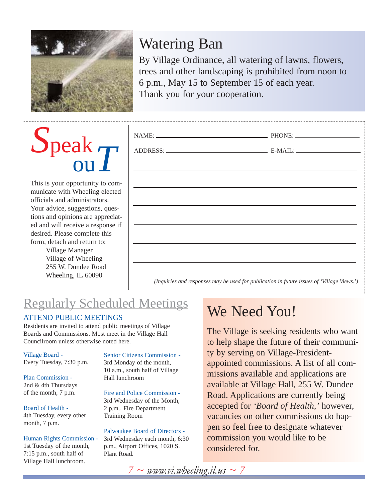

## Watering Ban

By Village Ordinance, all watering of lawns, flowers, trees and other landscaping is prohibited from noon to 6 p.m., May 15 to September 15 of each year. Thank you for your cooperation.

# *S*peak ou*T*

This is your opportunity to communicate with Wheeling elected officials and administrators. Your advice, suggestions, questions and opinions are appreciated and will receive a response if desired. Please complete this form, detach and return to:

Village Manager Village of Wheeling 255 W. Dundee Road Wheeling, IL 60090

| $\text{NAME:}\n \underline{\hspace{2cm}} \text{PHONE:} \underline{\hspace{2cm}}$ |  |
|----------------------------------------------------------------------------------|--|
|                                                                                  |  |
|                                                                                  |  |
|                                                                                  |  |
|                                                                                  |  |
|                                                                                  |  |
|                                                                                  |  |
|                                                                                  |  |
|                                                                                  |  |

*(Inquiries and responses may be used for publication in future issues of 'Village Views.')*

### Regularly Scheduled Meetings

#### ATTEND PUBLIC MEETINGS

Residents are invited to attend public meetings of Village Boards and Commissions. Most meet in the Village Hall Councilroom unless otherwise noted here.

Village Board - Every Tuesday, 7:30 p.m.

Plan Commission - 2nd & 4th Thursdays of the month, 7 p.m.

Board of Health - 4th Tuesday, every other month, 7 p.m.

Human Rights Commission - 1st Tuesday of the month, 7:15 p.m., south half of Village Hall lunchroom.

Senior Citizens Commission - 3rd Monday of the month, 10 a.m., south half of Village Hall lunchroom

Fire and Police Commission - 3rd Wednesday of the Month, 2 p.m., Fire Department Training Room

Palwaukee Board of Directors - 3rd Wednesday each month, 6:30 p.m., Airport Offices, 1020 S. Plant Road.

## We Need You!

The Village is seeking residents who want to help shape the future of their community by serving on Village-Presidentappointed commissions. A list of all commissions available and applications are available at Village Hall, 255 W. Dundee Road. Applications are currently being accepted for *'Board of Health,'* however, vacancies on other commissions do happen so feel free to designate whatever commission you would like to be considered for.